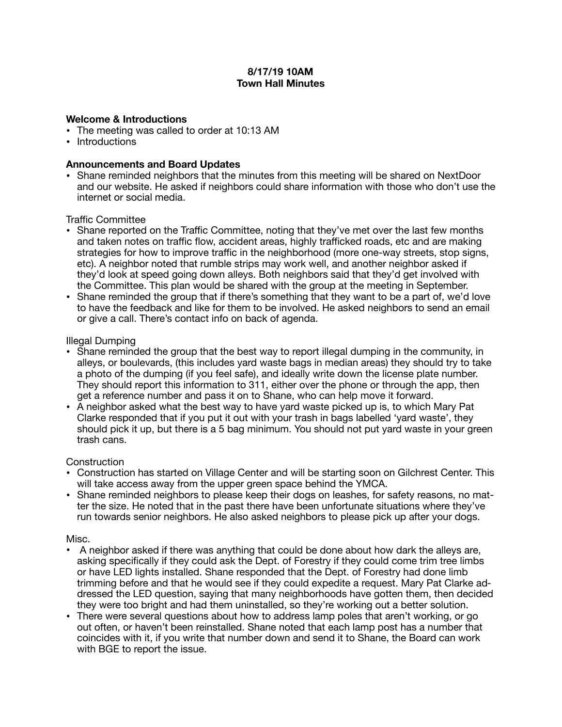## **8/17/19 10AM Town Hall Minutes**

#### **Welcome & Introductions**

- The meeting was called to order at 10:13 AM
- Introductions

## **Announcements and Board Updates**

• Shane reminded neighbors that the minutes from this meeting will be shared on NextDoor and our website. He asked if neighbors could share information with those who don't use the internet or social media.

## Traffic Committee

- Shane reported on the Traffic Committee, noting that they've met over the last few months and taken notes on traffic flow, accident areas, highly trafficked roads, etc and are making strategies for how to improve traffic in the neighborhood (more one-way streets, stop signs, etc). A neighbor noted that rumble strips may work well, and another neighbor asked if they'd look at speed going down alleys. Both neighbors said that they'd get involved with the Committee. This plan would be shared with the group at the meeting in September.
- Shane reminded the group that if there's something that they want to be a part of, we'd love to have the feedback and like for them to be involved. He asked neighbors to send an email or give a call. There's contact info on back of agenda.

## Illegal Dumping

- Shane reminded the group that the best way to report illegal dumping in the community, in alleys, or boulevards, (this includes yard waste bags in median areas) they should try to take a photo of the dumping (if you feel safe), and ideally write down the license plate number. They should report this information to 311, either over the phone or through the app, then get a reference number and pass it on to Shane, who can help move it forward.
- A neighbor asked what the best way to have yard waste picked up is, to which Mary Pat Clarke responded that if you put it out with your trash in bags labelled 'yard waste', they should pick it up, but there is a 5 bag minimum. You should not put yard waste in your green trash cans.

#### **Construction**

- Construction has started on Village Center and will be starting soon on Gilchrest Center. This will take access away from the upper green space behind the YMCA.
- Shane reminded neighbors to please keep their dogs on leashes, for safety reasons, no matter the size. He noted that in the past there have been unfortunate situations where they've run towards senior neighbors. He also asked neighbors to please pick up after your dogs.

#### Misc.

- A neighbor asked if there was anything that could be done about how dark the alleys are, asking specifically if they could ask the Dept. of Forestry if they could come trim tree limbs or have LED lights installed. Shane responded that the Dept. of Forestry had done limb trimming before and that he would see if they could expedite a request. Mary Pat Clarke addressed the LED question, saying that many neighborhoods have gotten them, then decided they were too bright and had them uninstalled, so they're working out a better solution.
- There were several questions about how to address lamp poles that aren't working, or go out often, or haven't been reinstalled. Shane noted that each lamp post has a number that coincides with it, if you write that number down and send it to Shane, the Board can work with BGE to report the issue.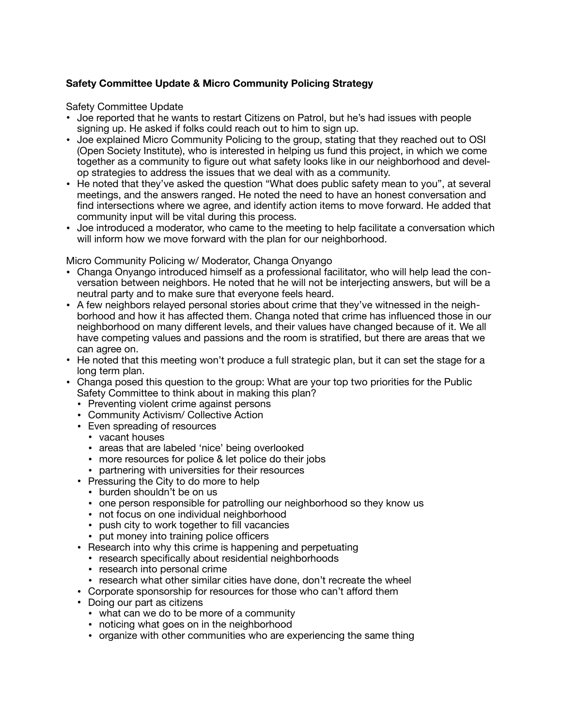# **Safety Committee Update & Micro Community Policing Strategy**

Safety Committee Update

- Joe reported that he wants to restart Citizens on Patrol, but he's had issues with people signing up. He asked if folks could reach out to him to sign up.
- Joe explained Micro Community Policing to the group, stating that they reached out to OSI (Open Society Institute), who is interested in helping us fund this project, in which we come together as a community to figure out what safety looks like in our neighborhood and develop strategies to address the issues that we deal with as a community.
- He noted that they've asked the question "What does public safety mean to you", at several meetings, and the answers ranged. He noted the need to have an honest conversation and find intersections where we agree, and identify action items to move forward. He added that community input will be vital during this process.
- Joe introduced a moderator, who came to the meeting to help facilitate a conversation which will inform how we move forward with the plan for our neighborhood.

Micro Community Policing w/ Moderator, Changa Onyango

- Changa Onyango introduced himself as a professional facilitator, who will help lead the conversation between neighbors. He noted that he will not be interjecting answers, but will be a neutral party and to make sure that everyone feels heard.
- A few neighbors relayed personal stories about crime that they've witnessed in the neighborhood and how it has affected them. Changa noted that crime has influenced those in our neighborhood on many different levels, and their values have changed because of it. We all have competing values and passions and the room is stratified, but there are areas that we can agree on.
- He noted that this meeting won't produce a full strategic plan, but it can set the stage for a long term plan.
- Changa posed this question to the group: What are your top two priorities for the Public Safety Committee to think about in making this plan?
	- Preventing violent crime against persons
	- Community Activism/ Collective Action
	- Even spreading of resources
		- vacant houses
		- areas that are labeled 'nice' being overlooked
		- more resources for police & let police do their jobs
		- partnering with universities for their resources
	- Pressuring the City to do more to help
		- burden shouldn't be on us
		- one person responsible for patrolling our neighborhood so they know us
		- not focus on one individual neighborhood
		- push city to work together to fill vacancies
		- put money into training police officers
	- Research into why this crime is happening and perpetuating
		- research specifically about residential neighborhoods
		- research into personal crime
		- research what other similar cities have done, don't recreate the wheel
	- Corporate sponsorship for resources for those who can't afford them
	- Doing our part as citizens
		- what can we do to be more of a community
		- noticing what goes on in the neighborhood
		- organize with other communities who are experiencing the same thing